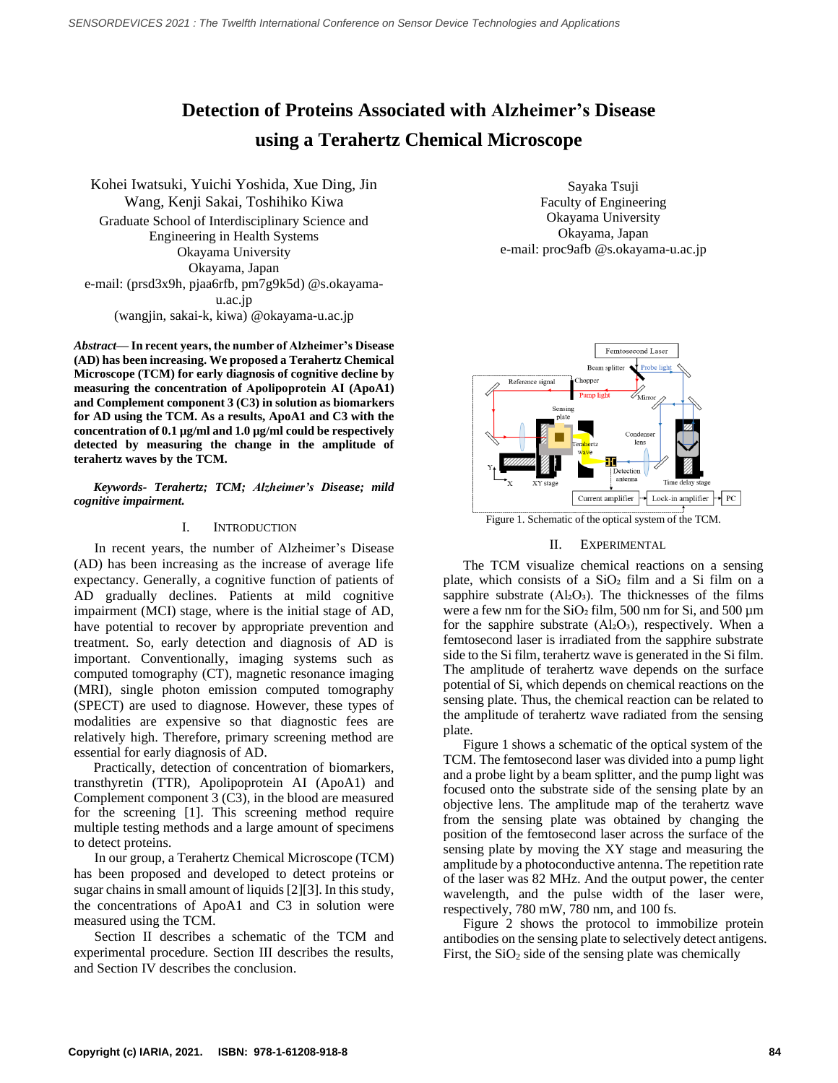# **Detection of Proteins Associated with Alzheimer's Disease using a Terahertz Chemical Microscope**

Kohei Iwatsuki, Yuichi Yoshida, Xue Ding, Jin Wang, Kenji Sakai, Toshihiko Kiwa Graduate School of Interdisciplinary Science and Engineering in Health Systems Okayama University Okayama, Japan e-mail: (prsd3x9h, pjaa6rfb, pm7g9k5d) @s.okayamau.ac.jp (wangjin, sakai-k, kiwa) @okayama-u.ac.jp

*Abstract***— In recent years, the number of Alzheimer's Disease (AD) has been increasing. We proposed a Terahertz Chemical Microscope (TCM) for early diagnosis of cognitive decline by measuring the concentration of Apolipoprotein AⅠ (ApoA1) and Complement component 3 (C3) in solution as biomarkers for AD using the TCM. As a results, ApoA1 and C3 with the concentration of 0.1 µg/ml and 1.0 µg/ml could be respectively detected by measuring the change in the amplitude of terahertz waves by the TCM.**

*Keywords- Terahertz; TCM; Alzheimer's Disease; mild cognitive impairment.*

## I. INTRODUCTION

In recent years, the number of Alzheimer's Disease (AD) has been increasing as the increase of average life expectancy. Generally, a cognitive function of patients of AD gradually declines. Patients at mild cognitive impairment (MCI) stage, where is the initial stage of AD, have potential to recover by appropriate prevention and treatment. So, early detection and diagnosis of AD is important. Conventionally, imaging systems such as computed tomography (CT), magnetic resonance imaging (MRI), single photon emission computed tomography (SPECT) are used to diagnose. However, these types of modalities are expensive so that diagnostic fees are relatively high. Therefore, primary screening method are essential for early diagnosis of AD.

Practically, detection of concentration of biomarkers, transthyretin (TTR), Apolipoprotein AI (ApoA1) and Complement component 3 (C3), in the blood are measured for the screening [1]. This screening method require multiple testing methods and a large amount of specimens to detect proteins.

In our group, a Terahertz Chemical Microscope (TCM) has been proposed and developed to detect proteins or sugar chains in small amount of liquids [2][3]. In this study, the concentrations of ApoA1 and C3 in solution were measured using the TCM.

Section II describes a schematic of the TCM and experimental procedure. Section III describes the results, and Section IV describes the conclusion.

Sayaka Tsuji Faculty of Engineering Okayama University Okayama, Japan e-mail: proc9afb @s.okayama-u.ac.jp



Figure 1. Schematic of the optical system of the TCM.

### II. EXPERIMENTAL

The TCM visualize chemical reactions on a sensing plate, which consists of a  $SiO<sub>2</sub>$  film and a Si film on a sapphire substrate  $(Al_2O_3)$ . The thicknesses of the films were a few nm for the  $SiO<sub>2</sub>$  film, 500 nm for Si, and 500  $\mu$ m for the sapphire substrate  $(AI<sub>2</sub>O<sub>3</sub>)$ , respectively. When a femtosecond laser is irradiated from the sapphire substrate side to the Si film, terahertz wave is generated in the Si film. The amplitude of terahertz wave depends on the surface potential of Si, which depends on chemical reactions on the sensing plate. Thus, the chemical reaction can be related to the amplitude of terahertz wave radiated from the sensing plate.

Figure 1 shows a schematic of the optical system of the TCM. The femtosecond laser was divided into a pump light and a probe light by a beam splitter, and the pump light was focused onto the substrate side of the sensing plate by an objective lens. The amplitude map of the terahertz wave from the sensing plate was obtained by changing the position of the femtosecond laser across the surface of the sensing plate by moving the XY stage and measuring the amplitude by a photoconductive antenna. The repetition rate of the laser was 82 MHz. And the output power, the center wavelength, and the pulse width of the laser were, respectively, 780 mW, 780 nm, and 100 fs.

Figure 2 shows the protocol to immobilize protein antibodies on the sensing plate to selectively detect antigens. First, the  $SiO<sub>2</sub>$  side of the sensing plate was chemically